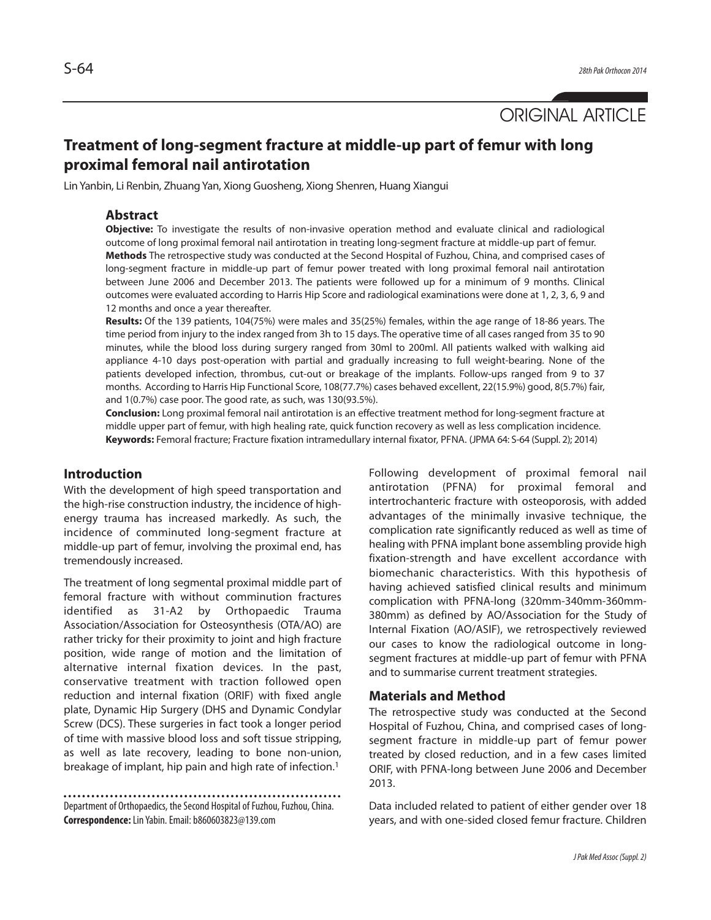ORIGINAL ARTICLE

# **Treatment of long-segment fracture at middle-up part of femur with long proximal femoral nail antirotation**

Lin Yanbin, Li Renbin, Zhuang Yan, Xiong Guosheng, Xiong Shenren, Huang Xiangui

## **Abstract**

**Objective:** To investigate the results of non-invasive operation method and evaluate clinical and radiological outcome of long proximal femoral nail antirotation in treating long-segment fracture at middle-up part of femur. **Methods** The retrospective study was conducted at the Second Hospital of Fuzhou, China, and comprised cases of long-segment fracture in middle-up part of femur power treated with long proximal femoral nail antirotation between June 2006 and December 2013. The patients were followed up for a minimum of 9 months. Clinical outcomes were evaluated according to Harris Hip Score and radiological examinations were done at 1, 2, 3, 6, 9 and 12 months and once a year thereafter.

**Results:** Of the 139 patients, 104(75%) were males and 35(25%) females, within the age range of 18-86 years. The time period from injury to the index ranged from 3h to 15 days. The operative time of all cases ranged from 35 to 90 minutes, while the blood loss during surgery ranged from 30ml to 200ml. All patients walked with walking aid appliance 4-10 days post-operation with partial and gradually increasing to full weight-bearing. None of the patients developed infection, thrombus, cut-out or breakage of the implants. Follow-ups ranged from 9 to 37 months. According to Harris Hip Functional Score, 108(77.7%) cases behaved excellent, 22(15.9%) good, 8(5.7%) fair, and 1(0.7%) case poor. The good rate, as such, was 130(93.5%).

**Conclusion:** Long proximal femoral nail antirotation is an effective treatment method for long-segment fracture at middle upper part of femur, with high healing rate, quick function recovery as well as less complication incidence. **Keywords:** Femoral fracture; Fracture fixation intramedullary internal fixator, PFNA. (JPMA 64: S-64 (Suppl. 2); 2014)

## **Introduction**

With the development of high speed transportation and the high-rise construction industry, the incidence of highenergy trauma has increased markedly. As such, the incidence of comminuted long-segment fracture at middle-up part of femur, involving the proximal end, has tremendously increased.

The treatment of long segmental proximal middle part of femoral fracture with without comminution fractures identified as 31-A2 by Orthopaedic Trauma Association/Association for Osteosynthesis (OTA/AO) are rather tricky for their proximity to joint and high fracture position, wide range of motion and the limitation of alternative internal fixation devices. In the past, conservative treatment with traction followed open reduction and internal fixation (ORIF) with fixed angle plate, Dynamic Hip Surgery (DHS and Dynamic Condylar Screw (DCS). These surgeries in fact took a longer period of time with massive blood loss and soft tissue stripping, as well as late recovery, leading to bone non-union, breakage of implant, hip pain and high rate of infection.<sup>1</sup>

Department of Orthopaedics, the Second Hospital of Fuzhou, Fuzhou, China. **Correspondence:** Lin Yabin. Email: b860603823@139.com

Following development of proximal femoral nail antirotation (PFNA) for proximal femoral and intertrochanteric fracture with osteoporosis, with added advantages of the minimally invasive technique, the complication rate significantly reduced as well as time of healing with PFNA implant bone assembling provide high fixation-strength and have excellent accordance with biomechanic characteristics. With this hypothesis of having achieved satisfied clinical results and minimum complication with PFNA-long (320mm-340mm-360mm-380mm) as defined by AO/Association for the Study of Internal Fixation (AO/ASIF), we retrospectively reviewed our cases to know the radiological outcome in longsegment fractures at middle-up part of femur with PFNA and to summarise current treatment strategies.

## **Materials and Method**

The retrospective study was conducted at the Second Hospital of Fuzhou, China, and comprised cases of longsegment fracture in middle-up part of femur power treated by closed reduction, and in a few cases limited ORIF, with PFNA-long between June 2006 and December 2013.

Data included related to patient of either gender over 18 years, and with one-sided closed femur fracture. Children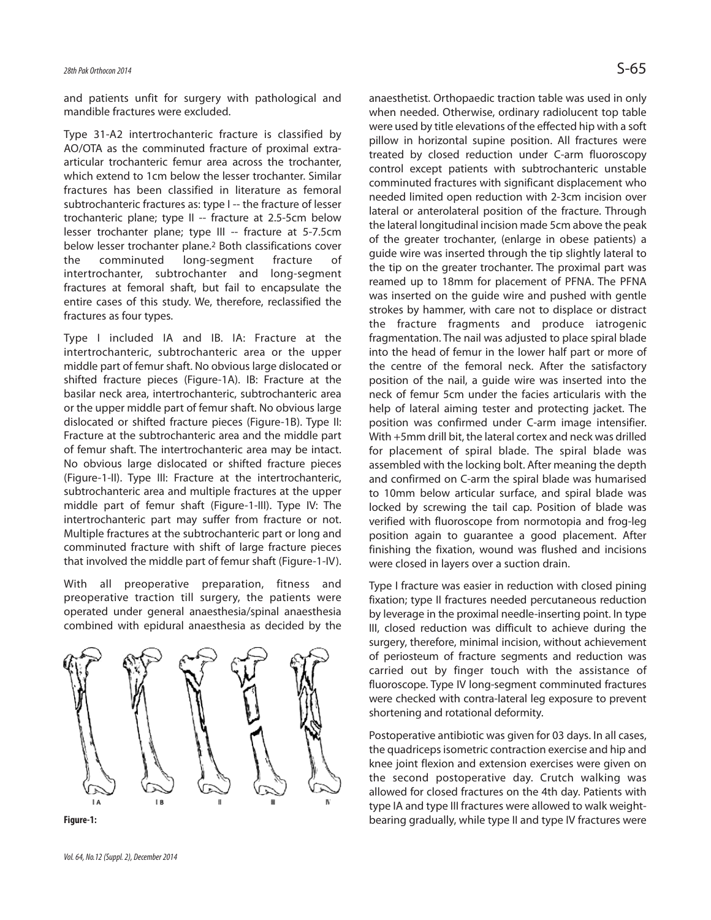and patients unfit for surgery with pathological and mandible fractures were excluded.

Type 31-A2 intertrochanteric fracture is classified by AO/OTA as the comminuted fracture of proximal extraarticular trochanteric femur area across the trochanter, which extend to 1cm below the lesser trochanter. Similar fractures has been classified in literature as femoral subtrochanteric fractures as: type I -- the fracture of lesser trochanteric plane; type II -- fracture at 2.5-5cm below lesser trochanter plane; type III -- fracture at 5-7.5cm below lesser trochanter plane.<sup>2</sup> Both classifications cover the comminuted long-segment fracture of intertrochanter, subtrochanter and long-segment fractures at femoral shaft, but fail to encapsulate the entire cases of this study. We, therefore, reclassified the fractures as four types.

Type I included IA and IB. IA: Fracture at the intertrochanteric, subtrochanteric area or the upper middle part of femur shaft. No obvious large dislocated or shifted fracture pieces (Figure-1A). IB: Fracture at the basilar neck area, intertrochanteric, subtrochanteric area or the upper middle part of femur shaft. No obvious large dislocated or shifted fracture pieces (Figure-1B). Type II: Fracture at the subtrochanteric area and the middle part of femur shaft. The intertrochanteric area may be intact. No obvious large dislocated or shifted fracture pieces (Figure-1-II). Type III: Fracture at the intertrochanteric, subtrochanteric area and multiple fractures at the upper middle part of femur shaft (Figure-1-III). Type IV: The intertrochanteric part may suffer from fracture or not. Multiple fractures at the subtrochanteric part or long and comminuted fracture with shift of large fracture pieces that involved the middle part of femur shaft (Figure-1-IV).

With all preoperative preparation, fitness and preoperative traction till surgery, the patients were operated under general anaesthesia/spinal anaesthesia combined with epidural anaesthesia as decided by the





anaesthetist. Orthopaedic traction table was used in only when needed. Otherwise, ordinary radiolucent top table were used by title elevations of the effected hip with a soft pillow in horizontal supine position. All fractures were treated by closed reduction under C-arm fluoroscopy control except patients with subtrochanteric unstable comminuted fractures with significant displacement who needed limited open reduction with 2-3cm incision over lateral or anterolateral position of the fracture. Through the lateral longitudinal incision made 5cm above the peak of the greater trochanter, (enlarge in obese patients) a guide wire was inserted through the tip slightly lateral to the tip on the greater trochanter. The proximal part was reamed up to 18mm for placement of PFNA. The PFNA was inserted on the guide wire and pushed with gentle strokes by hammer, with care not to displace or distract the fracture fragments and produce iatrogenic fragmentation. The nail was adjusted to place spiral blade into the head of femur in the lower half part or more of the centre of the femoral neck. After the satisfactory position of the nail, a guide wire was inserted into the neck of femur 5cm under the facies articularis with the help of lateral aiming tester and protecting jacket. The position was confirmed under C-arm image intensifier. With +5mm drill bit, the lateral cortex and neck was drilled for placement of spiral blade. The spiral blade was assembled with the locking bolt. After meaning the depth and confirmed on C-arm the spiral blade was humarised to 10mm below articular surface, and spiral blade was locked by screwing the tail cap. Position of blade was verified with fluoroscope from normotopia and frog-leg position again to guarantee a good placement. After finishing the fixation, wound was flushed and incisions were closed in layers over a suction drain.

Type I fracture was easier in reduction with closed pining fixation; type II fractures needed percutaneous reduction by leverage in the proximal needle-inserting point. In type III, closed reduction was difficult to achieve during the surgery, therefore, minimal incision, without achievement of periosteum of fracture segments and reduction was carried out by finger touch with the assistance of fluoroscope. Type IV long-segment comminuted fractures were checked with contra-lateral leg exposure to prevent shortening and rotational deformity.

Postoperative antibiotic was given for 03 days. In all cases, the quadriceps isometric contraction exercise and hip and knee joint flexion and extension exercises were given on the second postoperative day. Crutch walking was allowed for closed fractures on the 4th day. Patients with type IA and type III fractures were allowed to walk weightbearing gradually, while type II and type IV fractures were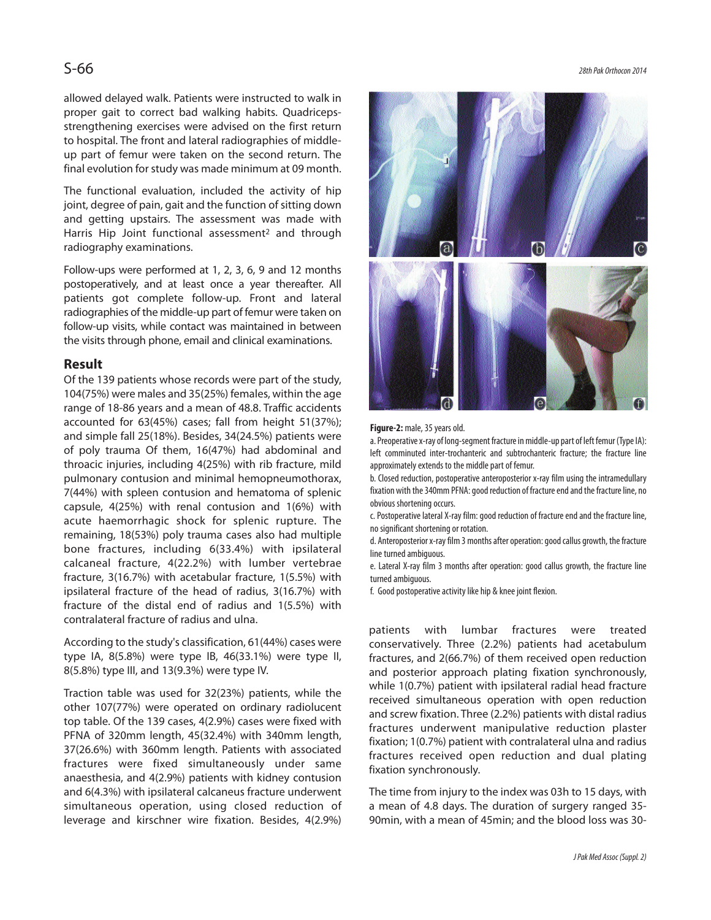allowed delayed walk. Patients were instructed to walk in proper gait to correct bad walking habits. Quadricepsstrengthening exercises were advised on the first return to hospital. The front and lateral radiographies of middleup part of femur were taken on the second return. The final evolution for study was made minimum at 09 month.

The functional evaluation, included the activity of hip joint, degree of pain, gait and the function of sitting down and getting upstairs. The assessment was made with Harris Hip Joint functional assessment<sup>2</sup> and through radiography examinations.

Follow-ups were performed at 1, 2, 3, 6, 9 and 12 months postoperatively, and at least once a year thereafter. All patients got complete follow-up. Front and lateral radiographies of the middle-up part of femur were taken on follow-up visits, while contact was maintained in between the visits through phone, email and clinical examinations.

## **Result**

Of the 139 patients whose records were part of the study, 104(75%) were males and 35(25%) females, within the age range of 18-86 years and a mean of 48.8. Traffic accidents accounted for 63(45%) cases; fall from height 51(37%); and simple fall 25(18%). Besides, 34(24.5%) patients were of poly trauma Of them, 16(47%) had abdominal and throacic injuries, including 4(25%) with rib fracture, mild pulmonary contusion and minimal hemopneumothorax, 7(44%) with spleen contusion and hematoma of splenic capsule, 4(25%) with renal contusion and 1(6%) with acute haemorrhagic shock for splenic rupture. The remaining, 18(53%) poly trauma cases also had multiple bone fractures, including 6(33.4%) with ipsilateral calcaneal fracture, 4(22.2%) with lumber vertebrae fracture, 3(16.7%) with acetabular fracture, 1(5.5%) with ipsilateral fracture of the head of radius, 3(16.7%) with fracture of the distal end of radius and 1(5.5%) with contralateral fracture of radius and ulna.

According to the study's classification, 61(44%) cases were type IA, 8(5.8%) were type IB, 46(33.1%) were type II, 8(5.8%) type III, and 13(9.3%) were type IV.

Traction table was used for 32(23%) patients, while the other 107(77%) were operated on ordinary radiolucent top table. Of the 139 cases, 4(2.9%) cases were fixed with PFNA of 320mm length, 45(32.4%) with 340mm length, 37(26.6%) with 360mm length. Patients with associated fractures were fixed simultaneously under same anaesthesia, and 4(2.9%) patients with kidney contusion and 6(4.3%) with ipsilateral calcaneus fracture underwent simultaneous operation, using closed reduction of leverage and kirschner wire fixation. Besides, 4(2.9%)



### **Figure-2:** male, 35 years old.

a. Preoperative x-ray of long-segment fracture in middle-up part of left femur (Type IA): left comminuted inter-trochanteric and subtrochanteric fracture; the fracture line approximately extends to the middle part of femur.

b. Closed reduction, postoperative anteroposterior x-ray film using the intramedullary fixation with the 340mm PFNA: good reduction of fracture end and the fracture line, no obvious shortening occurs.

c. Postoperative lateral X-ray film: good reduction of fracture end and the fracture line, no significant shortening or rotation.

d. Anteroposterior x-ray film 3 months after operation: good callus growth, the fracture line turned ambiguous.

e. Lateral X-ray film 3 months after operation: good callus growth, the fracture line turned ambiguous.

f. Good postoperative activity like hip & knee joint flexion.

patients with lumbar fractures were treated conservatively. Three (2.2%) patients had acetabulum fractures, and 2(66.7%) of them received open reduction and posterior approach plating fixation synchronously, while 1(0.7%) patient with ipsilateral radial head fracture received simultaneous operation with open reduction and screw fixation. Three (2.2%) patients with distal radius fractures underwent manipulative reduction plaster fixation; 1(0.7%) patient with contralateral ulna and radius fractures received open reduction and dual plating fixation synchronously.

The time from injury to the index was 03h to 15 days, with a mean of 4.8 days. The duration of surgery ranged 35- 90min, with a mean of 45min; and the blood loss was 30-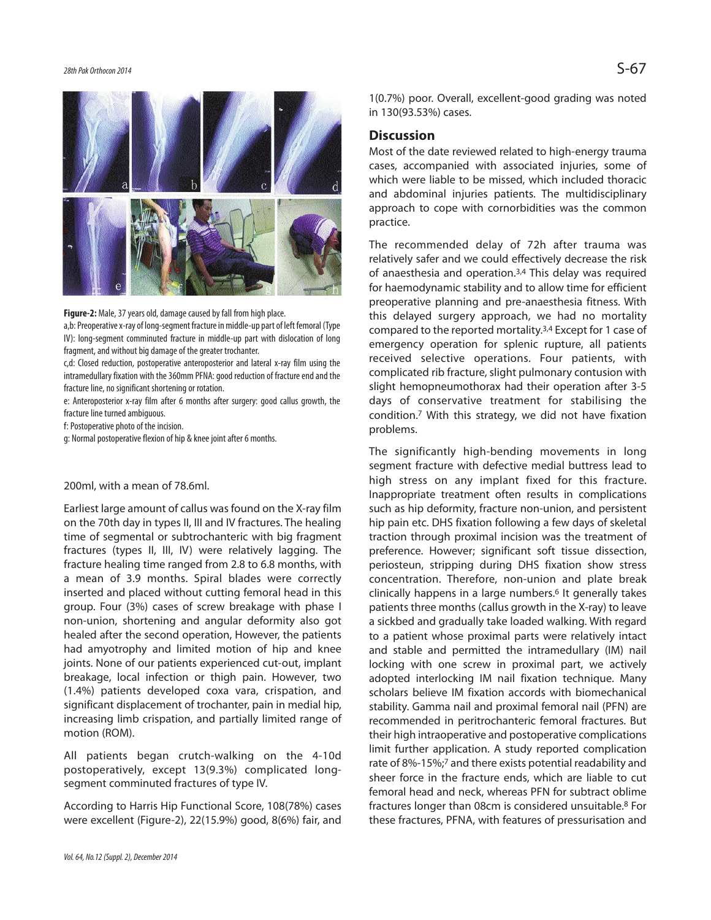

**Figure-2:** Male, 37 years old, damage caused by fall from high place.

a,b: Preoperative x-ray of long-segment fracture in middle-up part of left femoral (Type IV): long-segment comminuted fracture in middle-up part with dislocation of long fragment, and without big damage of the greater trochanter.

c,d: Closed reduction, postoperative anteroposterior and lateral x-ray film using the intramedullary fixation with the 360mm PFNA: good reduction of fracture end and the fracture line, no significant shortening or rotation.

e: Anteroposterior x-ray film after 6 months after surgery: good callus growth, the fracture line turned ambiguous.

f: Postoperative photo of the incision.

g: Normal postoperative flexion of hip & knee joint after 6 months.

200ml, with a mean of 78.6ml.

Earliest large amount of callus was found on the X-ray film on the 70th day in types II, III and IV fractures. The healing time of segmental or subtrochanteric with big fragment fractures (types II, III, IV) were relatively lagging. The fracture healing time ranged from 2.8 to 6.8 months, with a mean of 3.9 months. Spiral blades were correctly inserted and placed without cutting femoral head in this group. Four (3%) cases of screw breakage with phase I non-union, shortening and angular deformity also got healed after the second operation, However, the patients had amyotrophy and limited motion of hip and knee joints. None of our patients experienced cut-out, implant breakage, local infection or thigh pain. However, two (1.4%) patients developed coxa vara, crispation, and significant displacement of trochanter, pain in medial hip, increasing limb crispation, and partially limited range of motion (ROM).

All patients began crutch-walking on the 4-10d postoperatively, except 13(9.3%) complicated longsegment comminuted fractures of type IV.

According to Harris Hip Functional Score, 108(78%) cases were excellent (Figure-2), 22(15.9%) good, 8(6%) fair, and

1(0.7%) poor. Overall, excellent-good grading was noted in 130(93.53%) cases.

## **Discussion**

Most of the date reviewed related to high-energy trauma cases, accompanied with associated injuries, some of which were liable to be missed, which included thoracic and abdominal injuries patients. The multidisciplinary approach to cope with cornorbidities was the common practice.

The recommended delay of 72h after trauma was relatively safer and we could effectively decrease the risk of anaesthesia and operation.3,4 This delay was required for haemodynamic stability and to allow time for efficient preoperative planning and pre-anaesthesia fitness. With this delayed surgery approach, we had no mortality compared to the reported mortality.3,4 Except for 1 case of emergency operation for splenic rupture, all patients received selective operations. Four patients, with complicated rib fracture, slight pulmonary contusion with slight hemopneumothorax had their operation after 3-5 days of conservative treatment for stabilising the condition.<sup>7</sup> With this strategy, we did not have fixation problems.

The significantly high-bending movements in long segment fracture with defective medial buttress lead to high stress on any implant fixed for this fracture. Inappropriate treatment often results in complications such as hip deformity, fracture non-union, and persistent hip pain etc. DHS fixation following a few days of skeletal traction through proximal incision was the treatment of preference. However; significant soft tissue dissection, periosteun, stripping during DHS fixation show stress concentration. Therefore, non-union and plate break clinically happens in a large numbers.<sup>6</sup> It generally takes patients three months (callus growth in the X-ray) to leave a sickbed and gradually take loaded walking. With regard to a patient whose proximal parts were relatively intact and stable and permitted the intramedullary (IM) nail locking with one screw in proximal part, we actively adopted interlocking IM nail fixation technique. Many scholars believe IM fixation accords with biomechanical stability. Gamma nail and proximal femoral nail (PFN) are recommended in peritrochanteric femoral fractures. But their high intraoperative and postoperative complications limit further application. A study reported complication rate of 8%-15%;<sup>7</sup> and there exists potential readability and sheer force in the fracture ends, which are liable to cut femoral head and neck, whereas PFN for subtract oblime fractures longer than 08cm is considered unsuitable.<sup>8</sup> For these fractures, PFNA, with features of pressurisation and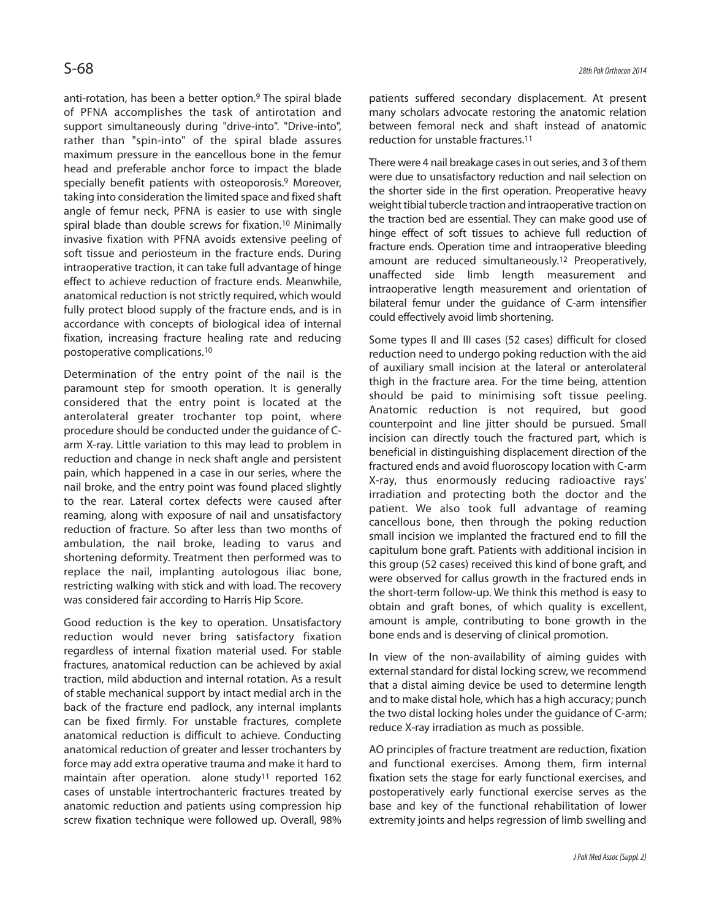anti-rotation, has been a better option.<sup>9</sup> The spiral blade of PFNA accomplishes the task of antirotation and support simultaneously during "drive-into". "Drive-into", rather than "spin-into" of the spiral blade assures maximum pressure in the eancellous bone in the femur head and preferable anchor force to impact the blade specially benefit patients with osteoporosis.<sup>9</sup> Moreover, taking into consideration the limited space and fixed shaft angle of femur neck, PFNA is easier to use with single spiral blade than double screws for fixation.<sup>10</sup> Minimally invasive fixation with PFNA avoids extensive peeling of soft tissue and periosteum in the fracture ends. During intraoperative traction, it can take full advantage of hinge effect to achieve reduction of fracture ends. Meanwhile, anatomical reduction is not strictly required, which would fully protect blood supply of the fracture ends, and is in accordance with concepts of biological idea of internal fixation, increasing fracture healing rate and reducing postoperative complications.<sup>10</sup>

Determination of the entry point of the nail is the paramount step for smooth operation. It is generally considered that the entry point is located at the anterolateral greater trochanter top point, where procedure should be conducted under the guidance of Carm X-ray. Little variation to this may lead to problem in reduction and change in neck shaft angle and persistent pain, which happened in a case in our series, where the nail broke, and the entry point was found placed slightly to the rear. Lateral cortex defects were caused after reaming, along with exposure of nail and unsatisfactory reduction of fracture. So after less than two months of ambulation, the nail broke, leading to varus and shortening deformity. Treatment then performed was to replace the nail, implanting autologous iliac bone, restricting walking with stick and with load. The recovery was considered fair according to Harris Hip Score.

Good reduction is the key to operation. Unsatisfactory reduction would never bring satisfactory fixation regardless of internal fixation material used. For stable fractures, anatomical reduction can be achieved by axial traction, mild abduction and internal rotation. As a result of stable mechanical support by intact medial arch in the back of the fracture end padlock, any internal implants can be fixed firmly. For unstable fractures, complete anatomical reduction is difficult to achieve. Conducting anatomical reduction of greater and lesser trochanters by force may add extra operative trauma and make it hard to maintain after operation. alone study<sup>11</sup> reported 162 cases of unstable intertrochanteric fractures treated by anatomic reduction and patients using compression hip screw fixation technique were followed up. Overall, 98%

patients suffered secondary displacement. At present many scholars advocate restoring the anatomic relation between femoral neck and shaft instead of anatomic reduction for unstable fractures.<sup>11</sup>

There were 4 nail breakage cases in out series, and 3 of them were due to unsatisfactory reduction and nail selection on the shorter side in the first operation. Preoperative heavy weight tibial tubercle traction and intraoperative traction on the traction bed are essential. They can make good use of hinge effect of soft tissues to achieve full reduction of fracture ends. Operation time and intraoperative bleeding amount are reduced simultaneously.<sup>12</sup> Preoperatively, unaffected side limb length measurement and intraoperative length measurement and orientation of bilateral femur under the guidance of C-arm intensifier could effectively avoid limb shortening.

Some types II and III cases (52 cases) difficult for closed reduction need to undergo poking reduction with the aid of auxiliary small incision at the lateral or anterolateral thigh in the fracture area. For the time being, attention should be paid to minimising soft tissue peeling. Anatomic reduction is not required, but good counterpoint and line jitter should be pursued. Small incision can directly touch the fractured part, which is beneficial in distinguishing displacement direction of the fractured ends and avoid fluoroscopy location with C-arm X-ray, thus enormously reducing radioactive rays' irradiation and protecting both the doctor and the patient. We also took full advantage of reaming cancellous bone, then through the poking reduction small incision we implanted the fractured end to fill the capitulum bone graft. Patients with additional incision in this group (52 cases) received this kind of bone graft, and were observed for callus growth in the fractured ends in the short-term follow-up. We think this method is easy to obtain and graft bones, of which quality is excellent, amount is ample, contributing to bone growth in the bone ends and is deserving of clinical promotion.

In view of the non-availability of aiming guides with external standard for distal locking screw, we recommend that a distal aiming device be used to determine length and to make distal hole, which has a high accuracy; punch the two distal locking holes under the guidance of C-arm; reduce X-ray irradiation as much as possible.

AO principles of fracture treatment are reduction, fixation and functional exercises. Among them, firm internal fixation sets the stage for early functional exercises, and postoperatively early functional exercise serves as the base and key of the functional rehabilitation of lower extremity joints and helps regression of limb swelling and